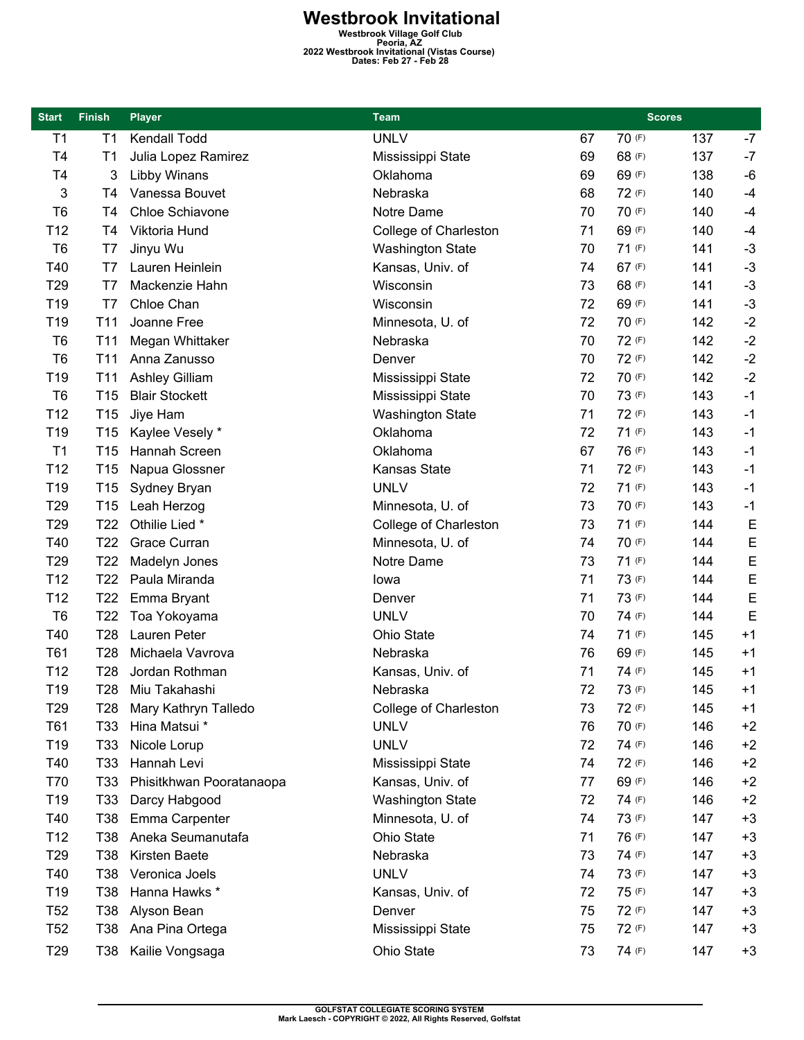**Westbrook Invitational Westbrook Village Golf Club Peoria, AZ 2022 Westbrook Invitational (Vistas Course) Dates: Feb 27 - Feb 28** 

| <b>Start</b>    | <b>Finish</b>   | <b>Player</b>            | Team                    |    | <b>Scores</b> |     |             |
|-----------------|-----------------|--------------------------|-------------------------|----|---------------|-----|-------------|
| T1              | T <sub>1</sub>  | Kendall Todd             | <b>UNLV</b>             | 67 | 70 (F)        | 137 | $-7$        |
| T4              | T1              | Julia Lopez Ramirez      | Mississippi State       | 69 | 68 (F)        | 137 | $-7$        |
| T4              | 3               | <b>Libby Winans</b>      | Oklahoma                | 69 | 69 (F)        | 138 | $-6$        |
| 3               | T4              | Vanessa Bouvet           | Nebraska                | 68 | 72 (F)        | 140 | $-4$        |
| T <sub>6</sub>  | T4              | Chloe Schiavone          | Notre Dame              | 70 | 70 (F)        | 140 | $-4$        |
| T <sub>12</sub> | T4              | Viktoria Hund            | College of Charleston   | 71 | 69 (F)        | 140 | $-4$        |
| T <sub>6</sub>  | T7              | Jinyu Wu                 | <b>Washington State</b> | 70 | 71(F)         | 141 | $-3$        |
| T40             | T7              | Lauren Heinlein          | Kansas, Univ. of        | 74 | 67 (F)        | 141 | $-3$        |
| T <sub>29</sub> | T7              | Mackenzie Hahn           | Wisconsin               | 73 | 68 (F)        | 141 | $-3$        |
| T <sub>19</sub> | T7              | Chloe Chan               | Wisconsin               | 72 | 69 (F)        | 141 | $-3$        |
| T19             | T <sub>11</sub> | Joanne Free              | Minnesota, U. of        | 72 | 70 (F)        | 142 | $-2$        |
| T <sub>6</sub>  | T <sub>11</sub> | Megan Whittaker          | Nebraska                | 70 | 72 (F)        | 142 | $-2$        |
| T <sub>6</sub>  | T <sub>11</sub> | Anna Zanusso             | Denver                  | 70 | 72 (F)        | 142 | $-2$        |
| T <sub>19</sub> | T <sub>11</sub> | Ashley Gilliam           | Mississippi State       | 72 | 70 (F)        | 142 | $-2$        |
| T <sub>6</sub>  | T <sub>15</sub> | <b>Blair Stockett</b>    | Mississippi State       | 70 | 73 (F)        | 143 | $-1$        |
| T <sub>12</sub> | T <sub>15</sub> | Jiye Ham                 | <b>Washington State</b> | 71 | 72 (F)        | 143 | $-1$        |
| T <sub>19</sub> | T <sub>15</sub> | Kaylee Vesely *          | Oklahoma                | 72 | 71(F)         | 143 | $-1$        |
| T1              | T <sub>15</sub> | Hannah Screen            | Oklahoma                | 67 | 76 (F)        | 143 | $-1$        |
| T <sub>12</sub> | T <sub>15</sub> | Napua Glossner           | Kansas State            | 71 | 72 (F)        | 143 | $-1$        |
| T <sub>19</sub> | T <sub>15</sub> | Sydney Bryan             | <b>UNLV</b>             | 72 | 71(F)         | 143 | $-1$        |
| T <sub>29</sub> | T <sub>15</sub> | Leah Herzog              | Minnesota, U. of        | 73 | 70 (F)        | 143 | $-1$        |
| T <sub>29</sub> | T <sub>22</sub> | Othilie Lied *           | College of Charleston   | 73 | 71(F)         | 144 | E           |
| T40             | T <sub>22</sub> | Grace Curran             | Minnesota, U. of        | 74 | 70 (F)        | 144 | E           |
| T <sub>29</sub> | T <sub>22</sub> | Madelyn Jones            | Notre Dame              | 73 | 71(F)         | 144 | E           |
| T <sub>12</sub> | T <sub>22</sub> | Paula Miranda            | lowa                    | 71 | 73 (F)        | 144 | $\mathsf E$ |
| T <sub>12</sub> | T <sub>22</sub> | Emma Bryant              | Denver                  | 71 | 73 (F)        | 144 | E           |
| T <sub>6</sub>  | T <sub>22</sub> | Toa Yokoyama             | <b>UNLV</b>             | 70 | 74 (F)        | 144 | E           |
| T40             | T <sub>28</sub> | Lauren Peter             | Ohio State              | 74 | 71(F)         | 145 | $+1$        |
| T61             | T <sub>28</sub> | Michaela Vavrova         | Nebraska                | 76 | 69 (F)        | 145 | $+1$        |
| T12             | T28             | Jordan Rothman           | Kansas, Univ. of        | 71 | 74 (F)        | 145 | $+1$        |
| T19             |                 | T28 Miu Takahashi        | Nebraska                | 72 | 73 (F)        | 145 | $+1$        |
| T <sub>29</sub> | T28             | Mary Kathryn Talledo     | College of Charleston   | 73 | 72 (F)        | 145 | $+1$        |
| T61             | T <sub>33</sub> | Hina Matsui *            | <b>UNLV</b>             | 76 | 70 (F)        | 146 | $+2$        |
| T <sub>19</sub> | T33             | Nicole Lorup             | <b>UNLV</b>             | 72 | 74 (F)        | 146 | $+2$        |
| T40             | T33             | Hannah Levi              | Mississippi State       | 74 | 72 (F)        | 146 | $+2$        |
| T70             | T33             | Phisitkhwan Pooratanaopa | Kansas, Univ. of        | 77 | 69 (F)        | 146 | $+2$        |
| T <sub>19</sub> | T33             | Darcy Habgood            | <b>Washington State</b> | 72 | 74 (F)        | 146 | $+2$        |
| T40             | T38             | Emma Carpenter           | Minnesota, U. of        | 74 | 73 (F)        | 147 | $+3$        |
| T <sub>12</sub> | T38             | Aneka Seumanutafa        | Ohio State              | 71 | 76 (F)        | 147 | $+3$        |
| T <sub>29</sub> | T38             | Kirsten Baete            | Nebraska                | 73 | 74 (F)        | 147 | $+3$        |
| T40             | T38             | Veronica Joels           | <b>UNLV</b>             | 74 | 73 (F)        | 147 | $+3$        |
| T <sub>19</sub> | T38             | Hanna Hawks *            | Kansas, Univ. of        | 72 | 75 (F)        | 147 | $+3$        |
| T <sub>52</sub> | T38             | Alyson Bean              | Denver                  | 75 | 72 (F)        | 147 | $+3$        |
| T <sub>52</sub> | T38             | Ana Pina Ortega          | Mississippi State       | 75 | 72 (F)        | 147 | $+3$        |
| T <sub>29</sub> |                 | T38 Kailie Vongsaga      | Ohio State              | 73 | 74 (F)        | 147 | $+3$        |